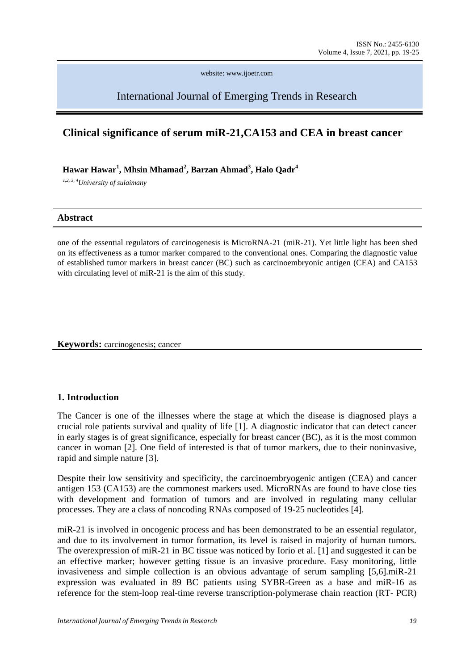website: www.ijoetr.com

International Journal of Emerging Trends in Research

# **Clinical significance of serum miR-21,CA153 and CEA in breast cancer**

**Hawar Hawar<sup>1</sup> , Mhsin Mhamad<sup>2</sup> , Barzan Ahmad<sup>3</sup> , Halo Qadr<sup>4</sup>**

*1,2, 3, 4University of sulaimany*

#### **Abstract**

one of the essential regulators of carcinogenesis is MicroRNA-21 (miR-21). Yet little light has been shed on its effectiveness as a tumor marker compared to the conventional ones. Comparing the diagnostic value of established tumor markers in breast cancer (BC) such as carcinoembryonic antigen (CEA) and CA153 with circulating level of miR-21 is the aim of this study.

**Keywords:** carcinogenesis: cancer

## **1. Introduction**

The Cancer is one of the illnesses where the stage at which the disease is diagnosed plays a crucial role patients survival and quality of life [1]. A diagnostic indicator that can detect cancer in early stages is of great significance, especially for breast cancer (BC), as it is the most common cancer in woman [2]. One field of interested is that of tumor markers, due to their noninvasive, rapid and simple nature [3].

Despite their low sensitivity and specificity, the carcinoembryogenic antigen (CEA) and cancer antigen 153 (CA153) are the commonest markers used. MicroRNAs are found to have close ties with development and formation of tumors and are involved in regulating many cellular processes. They are a class of noncoding RNAs composed of 19-25 nucleotides [4].

miR-21 is involved in oncogenic process and has been demonstrated to be an essential regulator, and due to its involvement in tumor formation, its level is raised in majority of human tumors. The overexpression of miR-21 in BC tissue was noticed by Iorio et al. [1] and suggested it can be an effective marker; however getting tissue is an invasive procedure. Easy monitoring, little invasiveness and simple collection is an obvious advantage of serum sampling [5,6].miR-21 expression was evaluated in 89 BC patients using SYBR-Green as a base and miR-16 as reference for the stem-loop real-time reverse transcription-polymerase chain reaction (RT- PCR)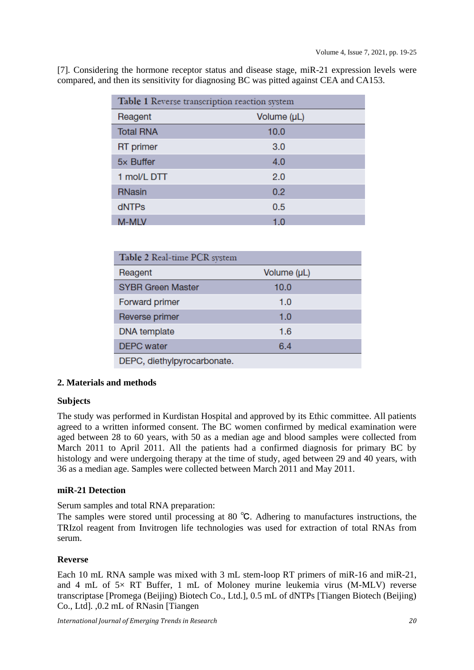| Table 1 Reverse transcription reaction system |             |  |
|-----------------------------------------------|-------------|--|
| Reagent                                       | Volume (µL) |  |
| <b>Total RNA</b>                              | 10.0        |  |
| <b>RT</b> primer                              | 3.0         |  |
| 5x Buffer                                     | 4.0         |  |
| 1 mol/L DTT                                   | 2.0         |  |
| <b>RNasin</b>                                 | 0.2         |  |
| dNTPs                                         | 0.5         |  |
| M-MLV                                         | 1.0         |  |

[7]. Considering the hormone receptor status and disease stage, miR-21 expression levels were compared, and then its sensitivity for diagnosing BC was pitted against CEA and CA153.

| Table 2 Real-time PCR system |             |  |
|------------------------------|-------------|--|
| Reagent                      | Volume (µL) |  |
| <b>SYBR Green Master</b>     | 10.0        |  |
| <b>Forward primer</b>        | 1.0         |  |
| Reverse primer               | 1.0         |  |
| <b>DNA</b> template          | 1.6         |  |
| <b>DEPC</b> water            | 6.4         |  |
| DEPC, diethylpyrocarbonate.  |             |  |

## **2. Materials and methods**

### **Subjects**

The study was performed in Kurdistan Hospital and approved by its Ethic committee. All patients agreed to a written informed consent. The BC women confirmed by medical examination were aged between 28 to 60 years, with 50 as a median age and blood samples were collected from March 2011 to April 2011. All the patients had a confirmed diagnosis for primary BC by histology and were undergoing therapy at the time of study, aged between 29 and 40 years, with 36 as a median age. Samples were collected between March 2011 and May 2011.

### **miR-21 Detection**

Serum samples and total RNA preparation:

The samples were stored until processing at 80 ℃. Adhering to manufactures instructions, the TRIzol reagent from Invitrogen life technologies was used for extraction of total RNAs from serum.

### **Reverse**

Each 10 mL RNA sample was mixed with 3 mL stem-loop RT primers of miR-16 and miR-21, and 4 mL of  $5\times$  RT Buffer, 1 mL of Moloney murine leukemia virus (M-MLV) reverse transcriptase [Promega (Beijing) Biotech Co., Ltd.], 0.5 mL of dNTPs [Tiangen Biotech (Beijing) Co., Ltd]. ,0.2 mL of RNasin [Tiangen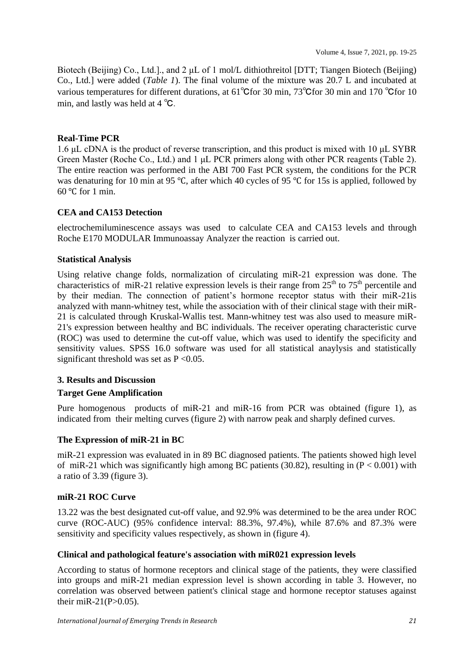Biotech (Beijing) Co., Ltd.]., and 2 μL of 1 mol/L dithiothreitol [DTT; Tiangen Biotech (Beijing) Co., Ltd.] were added (*Table 1*). The final volume of the mixture was 20.7 L and incubated at various temperatures for different durations, at 61℃for 30 min, 73℃for 30 min and 170 ℃for 10 min, and lastly was held at 4 ℃.

## **Real-Time PCR**

1.6 μL cDNA is the product of reverse transcription, and this product is mixed with 10 μL SYBR Green Master (Roche Co., Ltd.) and 1 μL PCR primers along with other PCR reagents (Table 2). The entire reaction was performed in the ABI 700 Fast PCR system, the conditions for the PCR was denaturing for 10 min at 95 ℃, after which 40 cycles of 95 ℃ for 15s is applied, followed by  $60^{\circ}$ C for 1 min.

## **CEA and CA153 Detection**

electrochemiluminescence assays was used to calculate CEA and CA153 levels and through Roche E170 MODULAR Immunoassay Analyzer the reaction is carried out.

### **Statistical Analysis**

Using relative change folds, normalization of circulating miR-21 expression was done. The characteristics of miR-21 relative expression levels is their range from  $25<sup>th</sup>$  to 75<sup>th</sup> percentile and by their median. The connection of patient's hormone receptor status with their miR-21is analyzed with mann-whitney test, while the association with of their clinical stage with their miR-21 is calculated through Kruskal-Wallis test. Mann-whitney test was also used to measure miR-21's expression between healthy and BC individuals. The receiver operating characteristic curve (ROC) was used to determine the cut-off value, which was used to identify the specificity and sensitivity values. SPSS 16.0 software was used for all statistical anaylysis and statistically significant threshold was set as  $P < 0.05$ .

### **3. Results and Discussion**

### **Target Gene Amplification**

Pure homogenous products of miR-21 and miR-16 from PCR was obtained (figure 1), as indicated from their melting curves (figure 2) with narrow peak and sharply defined curves.

### **The Expression of miR-21 in BC**

miR-21 expression was evaluated in in 89 BC diagnosed patients. The patients showed high level of miR-21 which was significantly high among BC patients (30.82), resulting in  $(P < 0.001)$  with a ratio of 3.39 (figure 3).

### **miR-21 ROC Curve**

13.22 was the best designated cut-off value, and 92.9% was determined to be the area under ROC curve (ROC-AUC) (95% confidence interval: 88.3%, 97.4%), while 87.6% and 87.3% were sensitivity and specificity values respectively, as shown in (figure 4).

### **Clinical and pathological feature's association with miR021 expression levels**

According to status of hormone receptors and clinical stage of the patients, they were classified into groups and miR-21 median expression level is shown according in table 3. However, no correlation was observed between patient's clinical stage and hormone receptor statuses against their miR-21(P $>0.05$ ).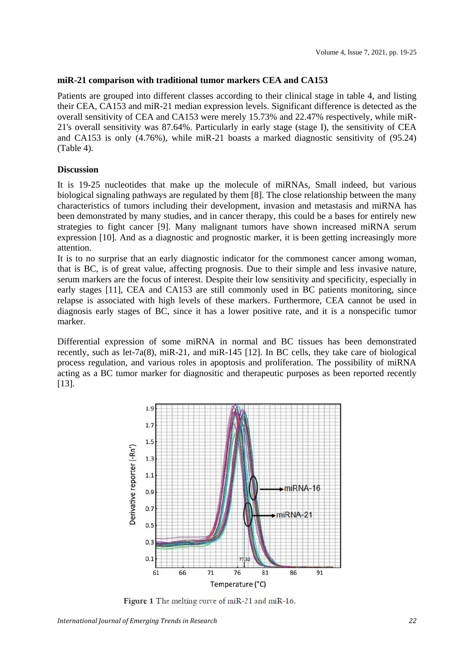#### **miR-21 comparison with traditional tumor markers CEA and CA153**

Patients are grouped into different classes according to their clinical stage in table 4, and listing their CEA, CA153 and miR-21 median expression levels. Significant difference is detected as the overall sensitivity of CEA and CA153 were merely 15.73% and 22.47% respectively, while miR-21's overall sensitivity was 87.64%. Particularly in early stage (stage I), the sensitivity of CEA and CA153 is only (4.76%), while miR-21 boasts a marked diagnostic sensitivity of (95.24) (Table 4).

#### **Discussion**

It is 19-25 nucleotides that make up the molecule of miRNAs, Small indeed, but various biological signaling pathways are regulated by them [8]. The close relationship between the many characteristics of tumors including their development, invasion and metastasis and miRNA has been demonstrated by many studies, and in cancer therapy, this could be a bases for entirely new strategies to fight cancer [9]. Many malignant tumors have shown increased miRNA serum expression [10]. And as a diagnostic and prognostic marker, it is been getting increasingly more attention.

It is to no surprise that an early diagnostic indicator for the commonest cancer among woman, that is BC, is of great value, affecting prognosis. Due to their simple and less invasive nature, serum markers are the focus of interest. Despite their low sensitivity and specificity, especially in early stages [11], CEA and CA153 are still commonly used in BC patients monitoring, since relapse is associated with high levels of these markers. Furthermore, CEA cannot be used in diagnosis early stages of BC, since it has a lower positive rate, and it is a nonspecific tumor marker.

Differential expression of some miRNA in normal and BC tissues has been demonstrated recently, such as let-7a(8), miR-21, and miR-145 [12]. In BC cells, they take care of biological process regulation, and various roles in apoptosis and proliferation. The possibility of miRNA acting as a BC tumor marker for diagnositic and therapeutic purposes as been reported recently [13].



Figure 1 The melting curve of miR-21 and miR-16.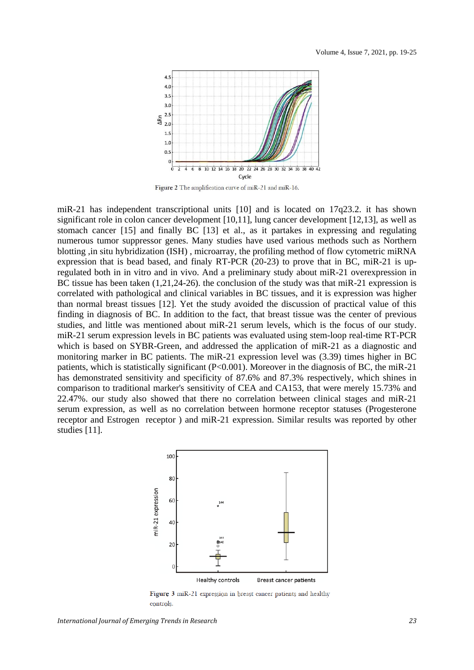

Figure 2 The amplification curve of miR-21 and miR-16.

miR-21 has independent transcriptional units [10] and is located on 17q23.2. it has shown significant role in colon cancer development [10,11], lung cancer development [12,13], as well as stomach cancer [15] and finally BC [13] et al., as it partakes in expressing and regulating numerous tumor suppressor genes. Many studies have used various methods such as Northern blotting ,in situ hybridization (ISH) , microarray, the profiling method of flow cytometric miRNA expression that is bead based, and finaly RT-PCR (20-23) to prove that in BC, miR-21 is upregulated both in in vitro and in vivo. And a preliminary study about miR-21 overexpression in BC tissue has been taken (1,21,24-26). the conclusion of the study was that miR-21 expression is correlated with pathological and clinical variables in BC tissues, and it is expression was higher than normal breast tissues [12]. Yet the study avoided the discussion of practical value of this finding in diagnosis of BC. In addition to the fact, that breast tissue was the center of previous studies, and little was mentioned about miR-21 serum levels, which is the focus of our study. miR-21 serum expression levels in BC patients was evaluated using stem-loop real-time RT-PCR which is based on SYBR-Green, and addressed the application of miR-21 as a diagnostic and monitoring marker in BC patients. The miR-21 expression level was (3.39) times higher in BC patients, which is statistically significant (P<0.001). Moreover in the diagnosis of BC, the miR-21 has demonstrated sensitivity and specificity of 87.6% and 87.3% respectively, which shines in comparison to traditional marker's sensitivity of CEA and CA153, that were merely 15.73% and 22.47%. our study also showed that there no correlation between clinical stages and miR-21 serum expression, as well as no correlation between hormone receptor statuses (Progesterone receptor and Estrogen receptor ) and miR-21 expression. Similar results was reported by other studies [11].



Figure 3 miR-21 expression in breast cancer patients and healthy controls.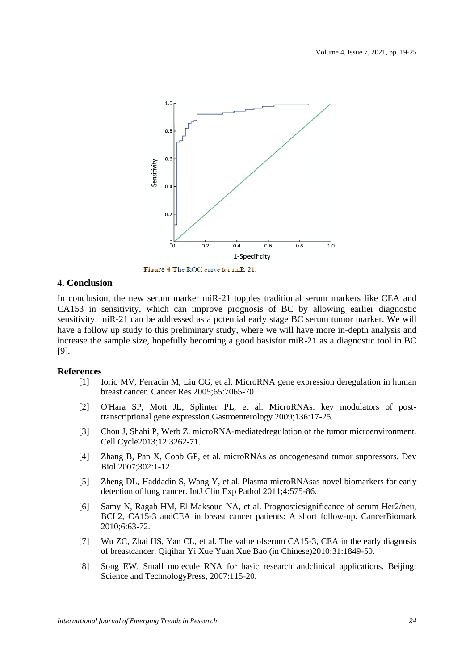

Figure 4 The ROC curve for miR-21.

#### **4. Conclusion**

In conclusion, the new serum marker miR-21 topples traditional serum markers like CEA and CA153 in sensitivity, which can improve prognosis of BC by allowing earlier diagnostic sensitivity. miR-21 can be addressed as a potential early stage BC serum tumor marker. We will have a follow up study to this preliminary study, where we will have more in-depth analysis and increase the sample size, hopefully becoming a good basisfor miR-21 as a diagnostic tool in BC [9].

#### **References**

- [1] Iorio MV, Ferracin M, Liu CG, et al. MicroRNA gene expression deregulation in human breast cancer. Cancer Res 2005;65:7065-70.
- [2] O'Hara SP, Mott JL, Splinter PL, et al. MicroRNAs: key modulators of posttranscriptional gene expression.Gastroenterology 2009;136:17-25.
- [3] Chou J, Shahi P, Werb Z. microRNA-mediatedregulation of the tumor microenvironment. Cell Cycle2013;12:3262-71.
- [4] Zhang B, Pan X, Cobb GP, et al. microRNAs as oncogenesand tumor suppressors. Dev Biol 2007;302:1-12.
- [5] Zheng DL, Haddadin S, Wang Y, et al. Plasma microRNAsas novel biomarkers for early detection of lung cancer. IntJ Clin Exp Pathol 2011;4:575-86.
- [6] Samy N, Ragab HM, El Maksoud NA, et al. Prognosticsignificance of serum Her2/neu, BCL2, CA15-3 andCEA in breast cancer patients: A short follow-up. CancerBiomark 2010;6:63-72.
- [7] Wu ZC, Zhai HS, Yan CL, et al. The value ofserum CA15-3, CEA in the early diagnosis of breastcancer. Qiqihar Yi Xue Yuan Xue Bao (in Chinese)2010;31:1849-50.
- [8] Song EW. Small molecule RNA for basic research andclinical applications. Beijing: Science and TechnologyPress, 2007:115-20.